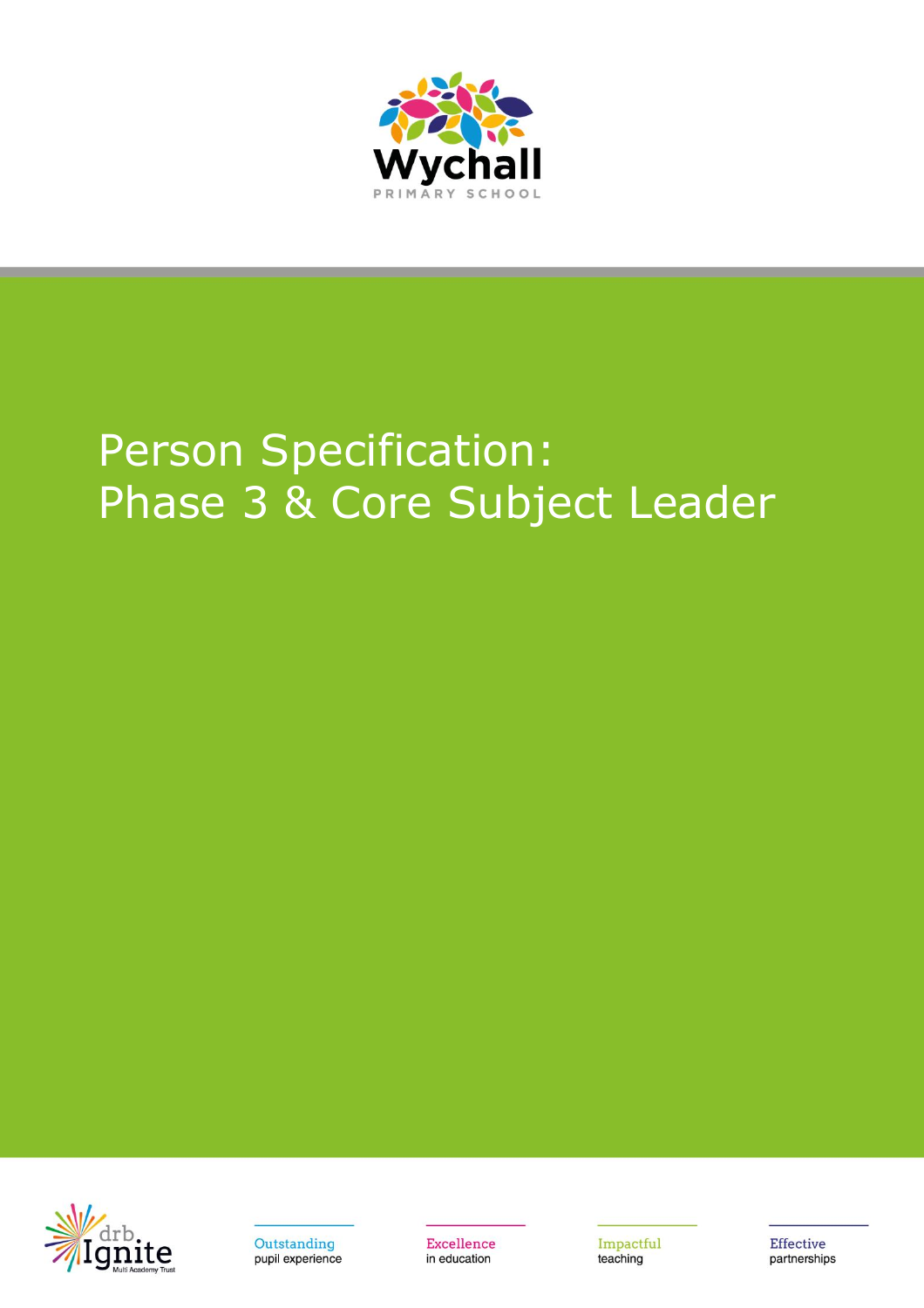

## Person Specification: Phase 3 & Core Subject Leader





**Excellence** in education

Impactful teaching

**Effective** partnerships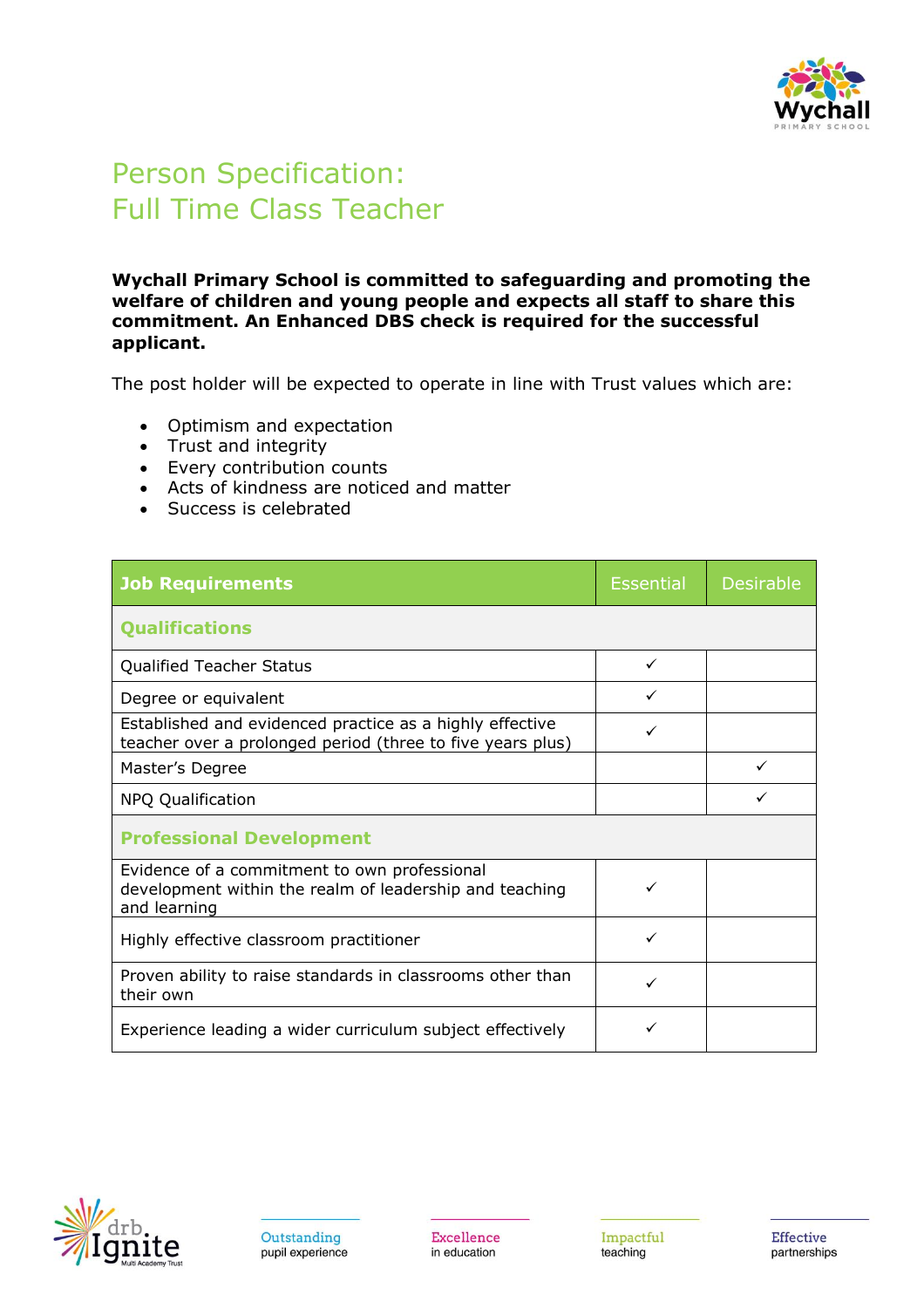

## Person Specification: Full Time Class Teacher

**Wychall Primary School is committed to safeguarding and promoting the welfare of children and young people and expects all staff to share this commitment. An Enhanced DBS check is required for the successful applicant.**

The post holder will be expected to operate in line with Trust values which are:

- Optimism and expectation
- Trust and integrity
- Every contribution counts
- Acts of kindness are noticed and matter
- Success is celebrated

| <b>Job Requirements</b>                                                                                                 | <b>Essential</b> | <b>Desirable</b> |
|-------------------------------------------------------------------------------------------------------------------------|------------------|------------------|
| <b>Qualifications</b>                                                                                                   |                  |                  |
| <b>Qualified Teacher Status</b>                                                                                         | ✓                |                  |
| Degree or equivalent                                                                                                    | ✓                |                  |
| Established and evidenced practice as a highly effective<br>teacher over a prolonged period (three to five years plus)  | ✓                |                  |
| Master's Degree                                                                                                         |                  |                  |
| NPQ Qualification                                                                                                       |                  |                  |
| <b>Professional Development</b>                                                                                         |                  |                  |
| Evidence of a commitment to own professional<br>development within the realm of leadership and teaching<br>and learning |                  |                  |
| Highly effective classroom practitioner                                                                                 | ✓                |                  |
| Proven ability to raise standards in classrooms other than<br>their own                                                 | ✓                |                  |
| Experience leading a wider curriculum subject effectively                                                               |                  |                  |

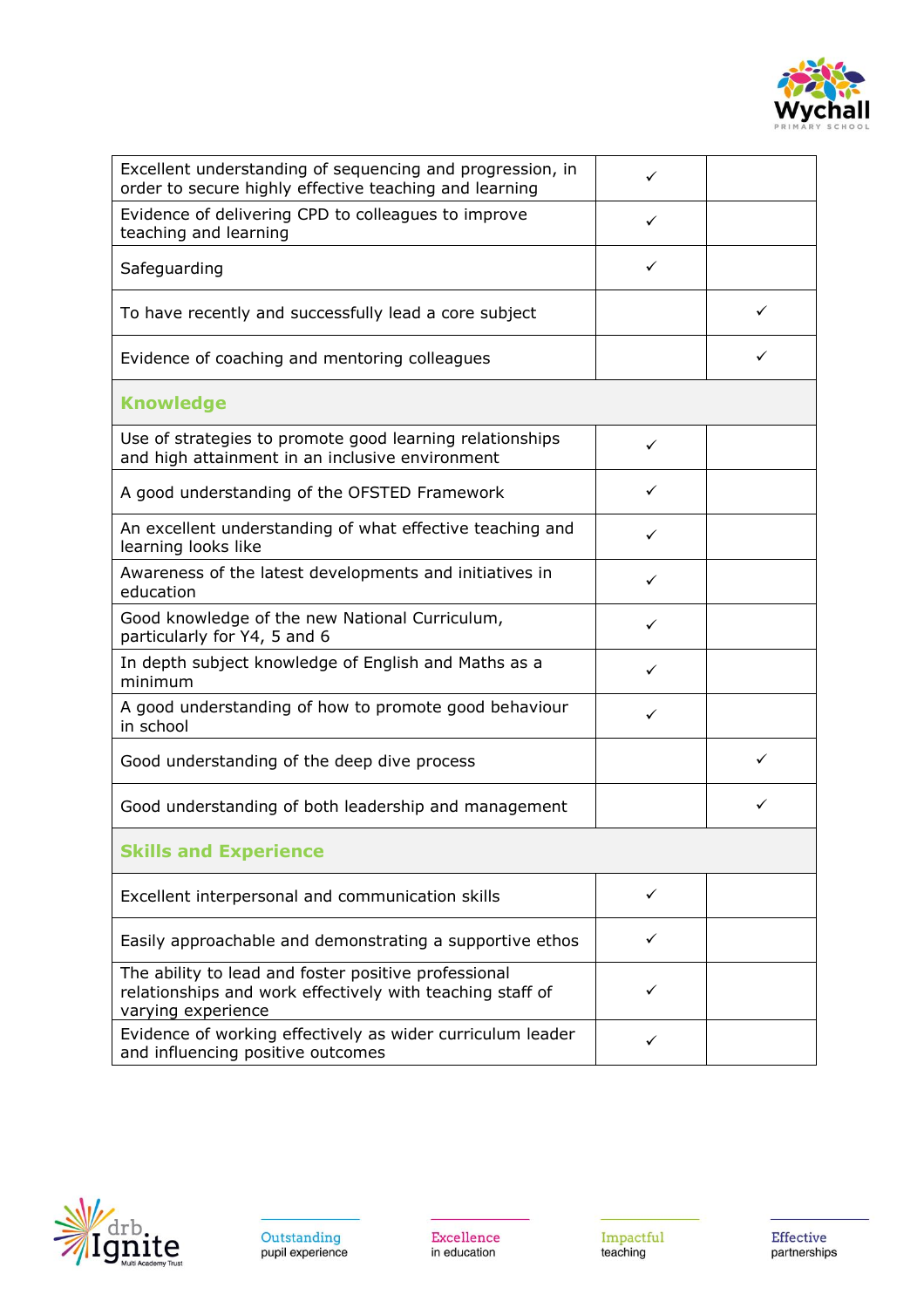

| Excellent understanding of sequencing and progression, in<br>order to secure highly effective teaching and learning                     | ✓ |   |
|-----------------------------------------------------------------------------------------------------------------------------------------|---|---|
| Evidence of delivering CPD to colleagues to improve<br>teaching and learning                                                            | ✓ |   |
| Safeguarding                                                                                                                            | ✓ |   |
| To have recently and successfully lead a core subject                                                                                   |   | ✓ |
| Evidence of coaching and mentoring colleagues                                                                                           |   |   |
| <b>Knowledge</b>                                                                                                                        |   |   |
| Use of strategies to promote good learning relationships<br>and high attainment in an inclusive environment                             | ✓ |   |
| A good understanding of the OFSTED Framework                                                                                            | ✓ |   |
| An excellent understanding of what effective teaching and<br>learning looks like                                                        | ✓ |   |
| Awareness of the latest developments and initiatives in<br>education                                                                    | ✓ |   |
| Good knowledge of the new National Curriculum,<br>particularly for Y4, 5 and 6                                                          | ✓ |   |
| In depth subject knowledge of English and Maths as a<br>minimum                                                                         | ✓ |   |
| A good understanding of how to promote good behaviour<br>in school                                                                      | ✓ |   |
| Good understanding of the deep dive process                                                                                             |   |   |
| Good understanding of both leadership and management                                                                                    |   |   |
| <b>Skills and Experience</b>                                                                                                            |   |   |
| Excellent interpersonal and communication skills                                                                                        | ✓ |   |
| Easily approachable and demonstrating a supportive ethos                                                                                | ✓ |   |
| The ability to lead and foster positive professional<br>relationships and work effectively with teaching staff of<br>varying experience | ✓ |   |
| Evidence of working effectively as wider curriculum leader<br>and influencing positive outcomes                                         | ✓ |   |



Excellence<br>in education